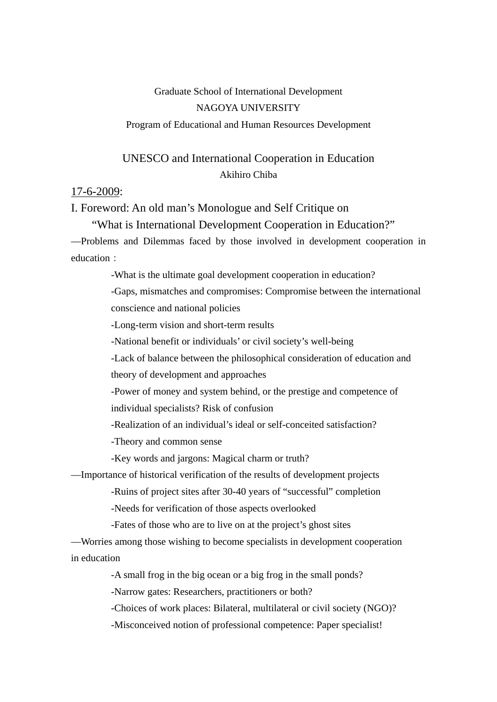## Graduate School of International Development NAGOYA UNIVERSITY

Program of Educational and Human Resources Development

# UNESCO and International Cooperation in Education Akihiro Chiba

#### 17-6-2009:

I. Foreword: An old man's Monologue and Self Critique on

"What is International Development Cooperation in Education?"

—Problems and Dilemmas faced by those involved in development cooperation in education:

-What is the ultimate goal development cooperation in education?

 -Gaps, mismatches and compromises: Compromise between the international conscience and national policies

-Long-term vision and short-term results

-National benefit or individuals' or civil society's well-being

-Lack of balance between the philosophical consideration of education and

theory of development and approaches

-Power of money and system behind, or the prestige and competence of individual specialists? Risk of confusion

-Realization of an individual's ideal or self-conceited satisfaction?

-Theory and common sense

-Key words and jargons: Magical charm or truth?

—Importance of historical verification of the results of development projects

-Ruins of project sites after 30-40 years of "successful" completion

-Needs for verification of those aspects overlooked

-Fates of those who are to live on at the project's ghost sites

—Worries among those wishing to become specialists in development cooperation in education

-A small frog in the big ocean or a big frog in the small ponds?

-Narrow gates: Researchers, practitioners or both?

-Choices of work places: Bilateral, multilateral or civil society (NGO)?

-Misconceived notion of professional competence: Paper specialist!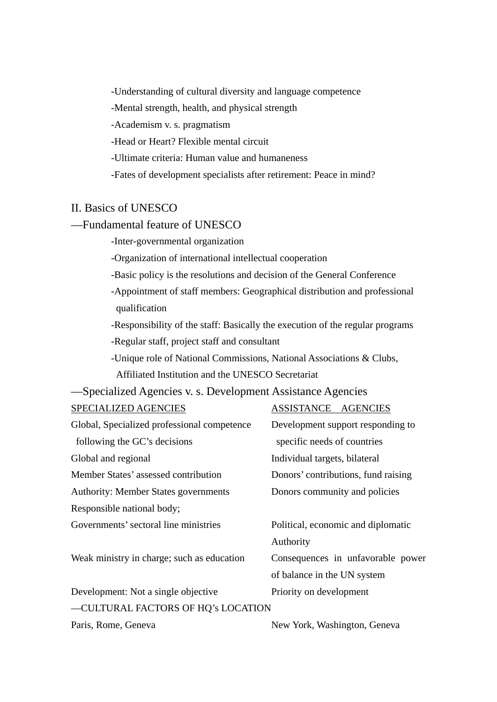-Understanding of cultural diversity and language competence

-Mental strength, health, and physical strength

-Academism v. s. pragmatism

-Head or Heart? Flexible mental circuit

-Ultimate criteria: Human value and humaneness

-Fates of development specialists after retirement: Peace in mind?

# II. Basics of UNESCO

#### —Fundamental feature of UNESCO

-Inter-governmental organization

-Organization of international intellectual cooperation

- -Basic policy is the resolutions and decision of the General Conference
- -Appointment of staff members: Geographical distribution and professional qualification

-Responsibility of the staff: Basically the execution of the regular programs

-Regular staff, project staff and consultant

-Unique role of National Commissions, National Associations & Clubs,

Affiliated Institution and the UNESCO Secretariat

### —Specialized Agencies v. s. Development Assistance Agencies

| SPECIALIZED AGENCIES                        | ASSISTANCE AGENCIES                 |
|---------------------------------------------|-------------------------------------|
| Global, Specialized professional competence | Development support responding to   |
| following the GC's decisions                | specific needs of countries         |
| Global and regional                         | Individual targets, bilateral       |
| Member States' assessed contribution        | Donors' contributions, fund raising |
| <b>Authority: Member States governments</b> | Donors community and policies       |
| Responsible national body;                  |                                     |
| Governments' sectoral line ministries       | Political, economic and diplomatic  |
|                                             | Authority                           |
| Weak ministry in charge; such as education  | Consequences in unfavorable power   |
|                                             | of balance in the UN system         |
| Development: Not a single objective         | Priority on development             |
| -CULTURAL FACTORS OF HQ's LOCATION          |                                     |
|                                             |                                     |

Paris, Rome, Geneva New York, Washington, Geneva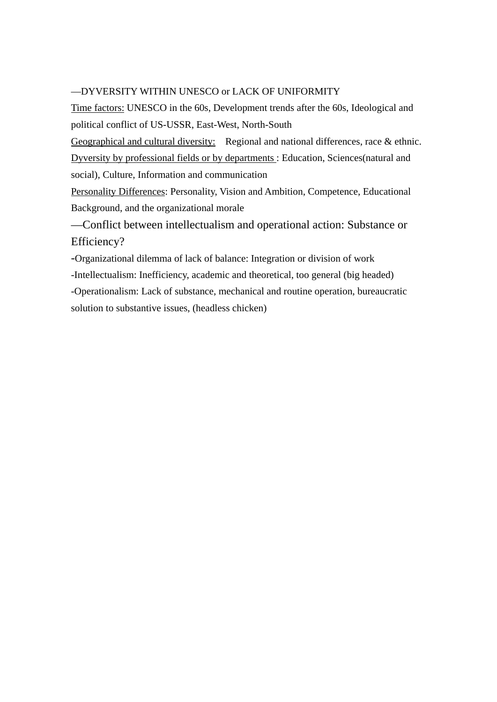#### —DYVERSITY WITHIN UNESCO or LACK OF UNIFORMITY

Time factors: UNESCO in the 60s, Development trends after the 60s, Ideological and political conflict of US-USSR, East-West, North-South

Geographical and cultural diversity: Regional and national differences, race & ethnic. Dyversity by professional fields or by departments : Education, Sciences(natural and social), Culture, Information and communication

Personality Differences: Personality, Vision and Ambition, Competence, Educational Background, and the organizational morale

—Conflict between intellectualism and operational action: Substance or Efficiency?

-Organizational dilemma of lack of balance: Integration or division of work

-Intellectualism: Inefficiency, academic and theoretical, too general (big headed)

-Operationalism: Lack of substance, mechanical and routine operation, bureaucratic solution to substantive issues, (headless chicken)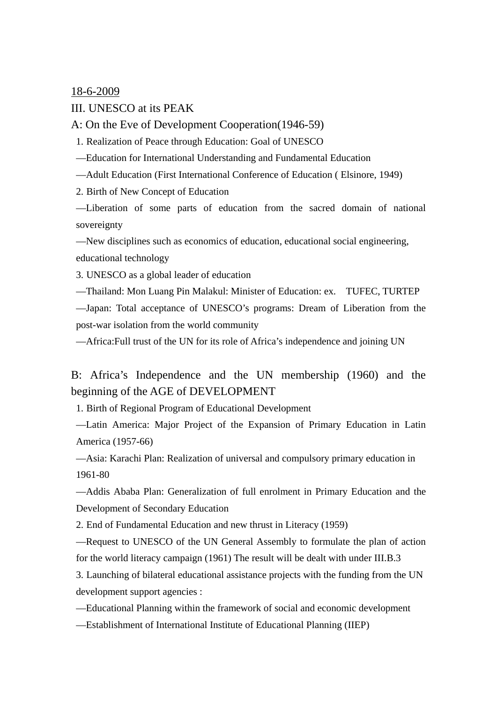18-6-2009

III. UNESCO at its PEAK

A: On the Eve of Development Cooperation(1946-59)

1. Realization of Peace through Education: Goal of UNESCO

—Education for International Understanding and Fundamental Education

—Adult Education (First International Conference of Education ( Elsinore, 1949)

2. Birth of New Concept of Education

—Liberation of some parts of education from the sacred domain of national sovereignty

—New disciplines such as economics of education, educational social engineering, educational technology

3. UNESCO as a global leader of education

—Thailand: Mon Luang Pin Malakul: Minister of Education: ex. TUFEC, TURTEP

—Japan: Total acceptance of UNESCO's programs: Dream of Liberation from the post-war isolation from the world community

—Africa:Full trust of the UN for its role of Africa's independence and joining UN

B: Africa's Independence and the UN membership (1960) and the beginning of the AGE of DEVELOPMENT

1. Birth of Regional Program of Educational Development

—Latin America: Major Project of the Expansion of Primary Education in Latin America (1957-66)

—Asia: Karachi Plan: Realization of universal and compulsory primary education in 1961-80

—Addis Ababa Plan: Generalization of full enrolment in Primary Education and the Development of Secondary Education

2. End of Fundamental Education and new thrust in Literacy (1959)

—Request to UNESCO of the UN General Assembly to formulate the plan of action for the world literacy campaign (1961) The result will be dealt with under III.B.3

3. Launching of bilateral educational assistance projects with the funding from the UN development support agencies :

—Educational Planning within the framework of social and economic development

—Establishment of International Institute of Educational Planning (IIEP)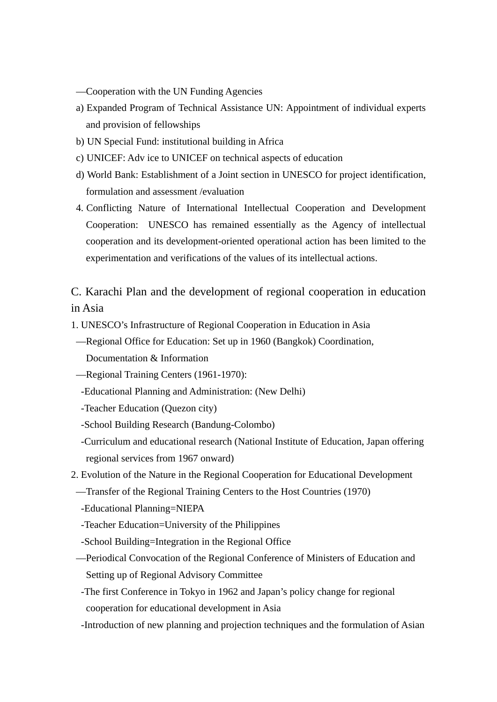- —Cooperation with the UN Funding Agencies
- a) Expanded Program of Technical Assistance UN: Appointment of individual experts and provision of fellowships
- b) UN Special Fund: institutional building in Africa
- c) UNICEF: Adv ice to UNICEF on technical aspects of education
- d) World Bank: Establishment of a Joint section in UNESCO for project identification, formulation and assessment /evaluation
- 4. Conflicting Nature of International Intellectual Cooperation and Development Cooperation: UNESCO has remained essentially as the Agency of intellectual cooperation and its development-oriented operational action has been limited to the experimentation and verifications of the values of its intellectual actions.

C. Karachi Plan and the development of regional cooperation in education in Asia

- 1. UNESCO's Infrastructure of Regional Cooperation in Education in Asia
- —Regional Office for Education: Set up in 1960 (Bangkok) Coordination, Documentation & Information
- —Regional Training Centers (1961-1970):
- -Educational Planning and Administration: (New Delhi)
- -Teacher Education (Quezon city)
- -School Building Research (Bandung-Colombo)
- -Curriculum and educational research (National Institute of Education, Japan offering regional services from 1967 onward)
- 2. Evolution of the Nature in the Regional Cooperation for Educational Development
- —Transfer of the Regional Training Centers to the Host Countries (1970)
- -Educational Planning=NIEPA
- -Teacher Education=University of the Philippines
- -School Building=Integration in the Regional Office
- —Periodical Convocation of the Regional Conference of Ministers of Education and Setting up of Regional Advisory Committee
	- -The first Conference in Tokyo in 1962 and Japan's policy change for regional cooperation for educational development in Asia
	- -Introduction of new planning and projection techniques and the formulation of Asian